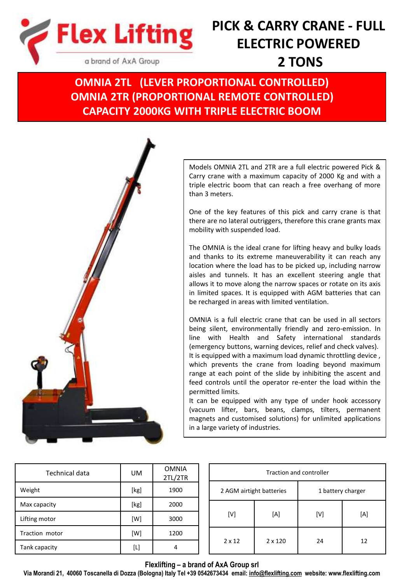

# **PICK & CARRY CRANE - FULL ELECTRIC POWERED 2 TONS**

**OMNIA 2TL (LEVER PROPORTIONAL CONTROLLED) OMNIA 2TR (PROPORTIONAL REMOTE CONTROLLED) CAPACITY 2000KG WITH TRIPLE ELECTRIC BOOM**



Models OMNIA 2TL and 2TR are a full electric powered Pick & Carry crane with a maximum capacity of 2000 Kg and with a triple electric boom that can reach a free overhang of more than 3 meters.

One of the key features of this pick and carry crane is that there are no lateral outriggers, therefore this crane grants max mobility with suspended load.

The OMNIA is the ideal crane for lifting heavy and bulky loads and thanks to its extreme maneuverability it can reach any location where the load has to be picked up, including narrow aisles and tunnels. It has an excellent steering angle that allows it to move along the narrow spaces or rotate on its axis in limited spaces. It is equipped with AGM batteries that can be recharged in areas with limited ventilation.

OMNIA is a full electric crane that can be used in all sectors being silent, environmentally friendly and zero-emission. In line with Health and Safety international standards (emergency buttons, warning devices, relief and check valves). It is equipped with a maximum load dynamic throttling device , which prevents the crane from loading beyond maximum range at each point of the slide by inhibiting the ascent and feed controls until the operator re-enter the load within the permitted limits.

It can be equipped with any type of under hook accessory (vacuum lifter, bars, beans, clamps, tilters, permanent magnets and customised solutions) for unlimited applications in a large variety of industries.

| Technical data | UM   | <b>OMNIA</b><br>2TL/2TR |
|----------------|------|-------------------------|
| Weight         | [kg] | 1900                    |
| Max capacity   | [kg] | 2000                    |
| Lifting motor  | [W]  | 3000                    |
| Traction motor | [W]  | 1200                    |
| Tank capacity  | [L]  | 4                       |

| Traction and controller  |                |                   |     |  |
|--------------------------|----------------|-------------------|-----|--|
| 2 AGM airtight batteries |                | 1 battery charger |     |  |
| [V]                      | [A]            | [V]               | [A] |  |
| $2 \times 12$            | $2 \times 120$ | 24                | 12  |  |

### **Flexlifting – a brand of AxA Group srl**

**Via Morandi 21, 40060 Toscanella di Dozza (Bologna) Italy Tel +39 0542673434 email: [info@flexlifting.com](mailto:info@flexlifting.com) website: www.flexlifting.com**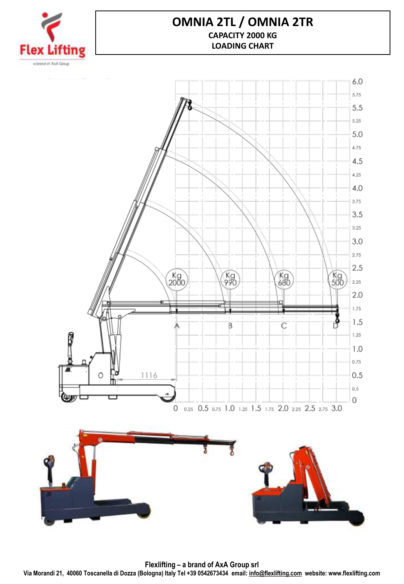

## **OMNIA 2TL / OMNIA 2TR CAPACITY 2000 KG LOADING CHART**



**Flexlifting – a brand of AxA Group srl Via Morandi 21, 40060 Toscanella di Dozza (Bologna) Italy Tel +39 0542673434 email: [info@flexlifting.com](mailto:info@flexlifting.com) website: www.flexlifting.com**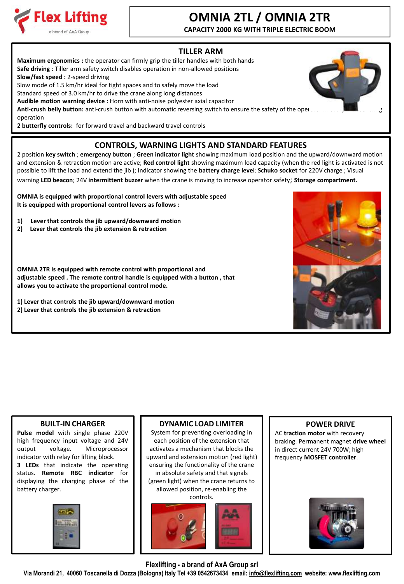

## **OMNIA 2TL / OMNIA 2TR**

**CAPACITY 2000 KG WITH TRIPLE ELECTRIC BOOM**

## **TILLER ARM**

**Maximum ergonomics :** the operator can firmly grip the tiller handles with both hands **Safe driving** : Tiller arm safety switch disables operation in non-allowed positions **Slow/fast speed :** 2-speed driving Slow mode of 1.5 km/hr ideal for tight spaces and to safely move the load Standard speed of 3.0 km/hr to drive the crane along long distances **Audible motion warning device :** Horn with anti-noise polyester axial capacitor Anti-crush belly button: anti-crush button with automatic reversing switch to ensure the safety of the oper operation

**2 butterfly controls:** for forward travel and backward travel controls

## **CONTROLS, WARNING LIGHTS AND STANDARD FEATURES**

2 position **key switch** ; **emergency button** ; **Green indicator light** showing maximum load position and the upward/downward motion and extension & retraction motion are active; **Red control light** showing maximum load capacity (when the red light is activated is not possible to lift the load and extend the jib ); Indicator showing the **battery charge level**; **Schuko socket** for 220V charge ; Visual

warning **LED beacon**; 24V **intermittent buzzer** when the crane is moving to increase operator safety; **Storage compartment.**

**OMNIA is equipped with proportional control levers with adjustable speed It is equipped with proportional control levers as follows :**

- **1) Lever that controls the jib upward/downward motion**
- **2) Lever that controls the jib extension & retraction**

**OMNIA 2TR is equipped with remote control with proportional and adjustable speed . The remote control handle is equipped with a button , that allows you to activate the proportional control mode.**

**1) Lever that controls the jib upward/downward motion 2) Lever that controls the jib extension & retraction**



#### **BUILT-IN CHARGER**

**Pulse model** with single phase 220V high frequency input voltage and 24V output voltage. Microprocessor indicator with relay for lifting block. **3 LEDs** that indicate the operating status. **Remote RBC indicator** for displaying the charging phase of the battery charger.



### **DYNAMIC LOAD LIMITER**

System for preventing overloading in each position of the extension that activates a mechanism that blocks the upward and extension motion (red light) ensuring the functionality of the crane in absolute safety and that signals (green light) when the crane returns to allowed position, re-enabling the controls.



### **POWER DRIVE**

AC **traction motor** with recovery braking. Permanent magnet **drive wheel**  in direct current 24V 700W; high frequency **MOSFET controller**.



**Flexlifting - a brand of AxA Group srl**

**Via Morandi 21, 40060 Toscanella di Dozza (Bologna) Italy Tel +39 0542673434 email: [info@flexlifting.com](mailto:info@flexlifting.com) website: www.flexlifting.com**